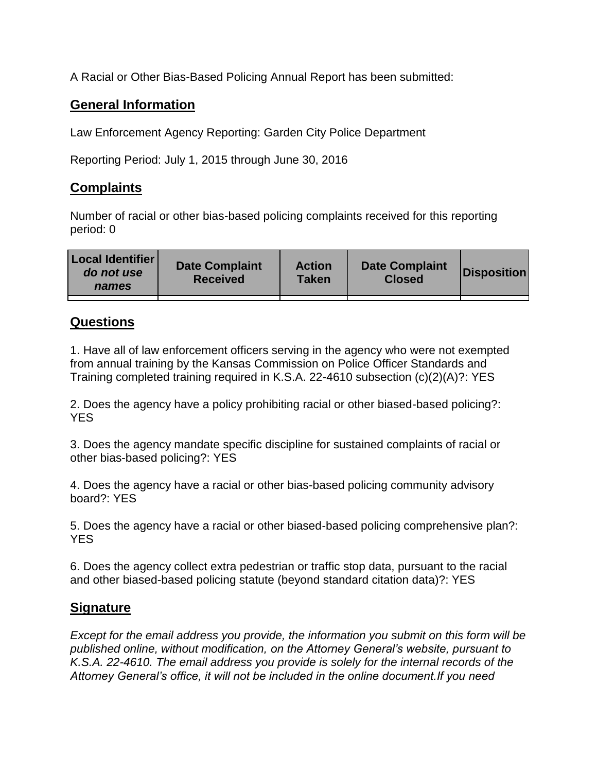A Racial or Other Bias-Based Policing Annual Report has been submitted:

## **General Information**

Law Enforcement Agency Reporting: Garden City Police Department

Reporting Period: July 1, 2015 through June 30, 2016

## **Complaints**

Number of racial or other bias-based policing complaints received for this reporting period: 0

| <b>Local Identifier</b><br>do not use<br>names | <b>Date Complaint</b><br><b>Received</b> | <b>Action</b><br><b>Taken</b> | <b>Date Complaint</b><br><b>Closed</b> | Disposition |
|------------------------------------------------|------------------------------------------|-------------------------------|----------------------------------------|-------------|
|                                                |                                          |                               |                                        |             |

## **Questions**

1. Have all of law enforcement officers serving in the agency who were not exempted from annual training by the Kansas Commission on Police Officer Standards and Training completed training required in K.S.A. 22-4610 subsection (c)(2)(A)?: YES

2. Does the agency have a policy prohibiting racial or other biased-based policing?: YES

3. Does the agency mandate specific discipline for sustained complaints of racial or other bias-based policing?: YES

4. Does the agency have a racial or other bias-based policing community advisory board?: YES

5. Does the agency have a racial or other biased-based policing comprehensive plan?: YES

6. Does the agency collect extra pedestrian or traffic stop data, pursuant to the racial and other biased-based policing statute (beyond standard citation data)?: YES

## **Signature**

*Except for the email address you provide, the information you submit on this form will be published online, without modification, on the Attorney General's website, pursuant to K.S.A. 22-4610. The email address you provide is solely for the internal records of the Attorney General's office, it will not be included in the online document.If you need*